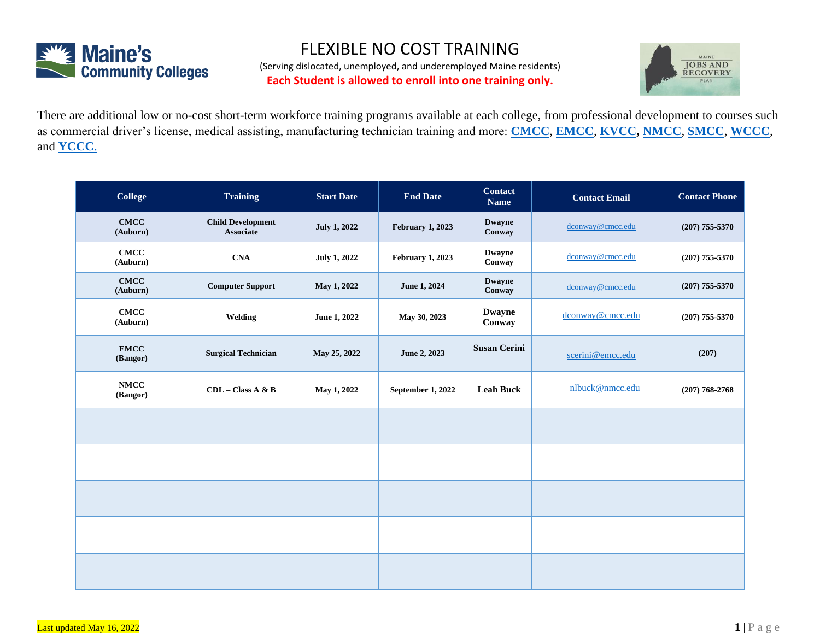

## FLEXIBLE NO COST TRAINING

(Serving dislocated, unemployed, and underemployed Maine residents) **Each Student is allowed to enroll into one training only.**



There are additional low or no-cost short-term workforce training programs available at each college, from professional development to courses such as commercial driver's license, medical assisting, manufacturing technician training and more: **[CMCC](https://www.cmcc.edu/business-community/workforce-professional-development/customized-training/)**, **[EMCC](https://www.emcc.edu/workforce-development/)**, **[KVCC,](https://www.kvcc.me.edu/professional-development/customized-training-for-business/) [NMCC](http://www.nmcc.edu/industry-customized-training/workforce-training/)**, **[SMCC](https://startsmart.smccme.edu/noncredit-courses/)**, **[WCCC](http://www.wccc.me.edu/professional-development/workforce-training/)**, and **[YCCC](https://www.yccc.edu/explore/workforce-training-professional-development/)**.

| <b>College</b>          | <b>Training</b>                              | <b>Start Date</b>   | <b>End Date</b>         | <b>Contact</b><br><b>Name</b> | <b>Contact Email</b> | <b>Contact Phone</b> |
|-------------------------|----------------------------------------------|---------------------|-------------------------|-------------------------------|----------------------|----------------------|
| <b>CMCC</b><br>(Auburn) | <b>Child Development</b><br><b>Associate</b> | <b>July 1, 2022</b> | <b>February 1, 2023</b> | <b>Dwayne</b><br>Conway       | dconway@cmcc.edu     | $(207)$ 755-5370     |
| <b>CMCC</b><br>(Auburn) | <b>CNA</b>                                   | <b>July 1, 2022</b> | <b>February 1, 2023</b> | <b>Dwayne</b><br>Conway       | dconway@cmcc.edu     | $(207)$ 755-5370     |
| <b>CMCC</b><br>(Auburn) | <b>Computer Support</b>                      | May 1, 2022         | June 1, 2024            | <b>Dwayne</b><br>Conway       | dconway@cmcc.edu     | $(207)$ 755-5370     |
| <b>CMCC</b><br>(Auburn) | Welding                                      | June 1, 2022        | May 30, 2023            | <b>Dwayne</b><br>Conway       | dconway@cmcc.edu     | $(207)$ 755-5370     |
| <b>EMCC</b><br>(Bangor) | <b>Surgical Technician</b>                   | May 25, 2022        | June 2, 2023            | <b>Susan Cerini</b>           | scerini@emcc.edu     | (207)                |
| <b>NMCC</b><br>(Bangor) | $CDL - Class A & B$                          | May 1, 2022         | September 1, 2022       | <b>Leah Buck</b>              | nlbuck@nmcc.edu      | $(207) 768 - 2768$   |
|                         |                                              |                     |                         |                               |                      |                      |
|                         |                                              |                     |                         |                               |                      |                      |
|                         |                                              |                     |                         |                               |                      |                      |
|                         |                                              |                     |                         |                               |                      |                      |
|                         |                                              |                     |                         |                               |                      |                      |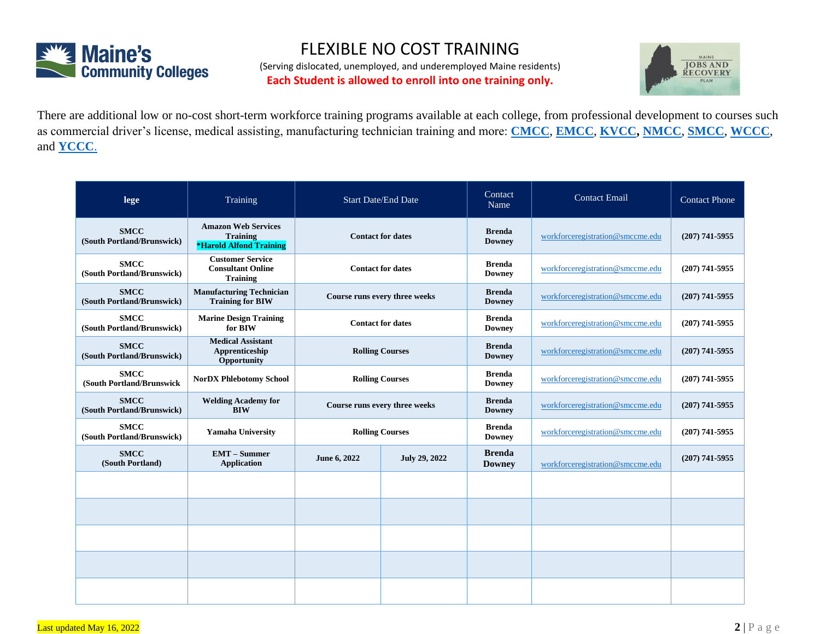

## FLEXIBLE NO COST TRAINING

(Serving dislocated, unemployed, and underemployed Maine residents) **Each Student is allowed to enroll into one training only.**



There are additional low or no-cost short-term workforce training programs available at each college, from professional development to courses such as commercial driver's license, medical assisting, manufacturing technician training and more: **[CMCC](https://www.cmcc.edu/business-community/workforce-professional-development/customized-training/)**, **[EMCC](https://www.emcc.edu/workforce-development/)**, **[KVCC,](https://www.kvcc.me.edu/professional-development/customized-training-for-business/) [NMCC](http://www.nmcc.edu/industry-customized-training/workforce-training/)**, **[SMCC](https://startsmart.smccme.edu/noncredit-courses/)**, **[WCCC](http://www.wccc.me.edu/professional-development/workforce-training/)**, and **[YCCC](https://www.yccc.edu/explore/workforce-training-professional-development/)**.

| lege                                      | Training                                                                        | <b>Start Date/End Date</b>    |                      | Contact<br>Name                | <b>Contact Email</b>             | <b>Contact Phone</b> |
|-------------------------------------------|---------------------------------------------------------------------------------|-------------------------------|----------------------|--------------------------------|----------------------------------|----------------------|
| <b>SMCC</b><br>(South Portland/Brunswick) | <b>Amazon Web Services</b><br><b>Training</b><br><b>*Harold Alfond Training</b> | <b>Contact for dates</b>      |                      | <b>Brenda</b><br><b>Downey</b> | workforceregistration@smccme.edu | $(207)$ 741-5955     |
| <b>SMCC</b><br>(South Portland/Brunswick) | <b>Customer Service</b><br><b>Consultant Online</b><br><b>Training</b>          | <b>Contact for dates</b>      |                      | <b>Brenda</b><br><b>Downey</b> | workforceregistration@smccme.edu | $(207)$ 741-5955     |
| <b>SMCC</b><br>(South Portland/Brunswick) | <b>Manufacturing Technician</b><br><b>Training for BIW</b>                      | Course runs every three weeks |                      | <b>Brenda</b><br><b>Downey</b> | workforceregistration@smccme.edu | $(207)$ 741-5955     |
| <b>SMCC</b><br>(South Portland/Brunswick) | <b>Marine Design Training</b><br>for BIW                                        | <b>Contact for dates</b>      |                      | <b>Brenda</b><br><b>Downey</b> | workforceregistration@smccme.edu | $(207)$ 741-5955     |
| <b>SMCC</b><br>(South Portland/Brunswick) | <b>Medical Assistant</b><br>Apprenticeship<br>Opportunity                       | <b>Rolling Courses</b>        |                      | <b>Brenda</b><br><b>Downey</b> | workforceregistration@smccme.edu | $(207)$ 741-5955     |
| <b>SMCC</b><br>(South Portland/Brunswick  | <b>NorDX Phlebotomy School</b>                                                  | <b>Rolling Courses</b>        |                      | <b>Brenda</b><br><b>Downey</b> | workforceregistration@smccme.edu | $(207)$ 741-5955     |
| <b>SMCC</b><br>(South Portland/Brunswick) | <b>Welding Academy for</b><br><b>BIW</b>                                        | Course runs every three weeks |                      | <b>Brenda</b><br><b>Downey</b> | workforceregistration@smccme.edu | $(207)$ 741-5955     |
| <b>SMCC</b><br>(South Portland/Brunswick) | <b>Yamaha University</b>                                                        | <b>Rolling Courses</b>        |                      | <b>Brenda</b><br><b>Downey</b> | workforceregistration@smccme.edu | $(207)$ 741-5955     |
| <b>SMCC</b><br>(South Portland)           | <b>EMT</b> – Summer<br><b>Application</b>                                       | June 6, 2022                  | <b>July 29, 2022</b> | <b>Brenda</b><br><b>Downey</b> | workforceregistration@smccme.edu | $(207)$ 741-5955     |
|                                           |                                                                                 |                               |                      |                                |                                  |                      |
|                                           |                                                                                 |                               |                      |                                |                                  |                      |
|                                           |                                                                                 |                               |                      |                                |                                  |                      |
|                                           |                                                                                 |                               |                      |                                |                                  |                      |
|                                           |                                                                                 |                               |                      |                                |                                  |                      |